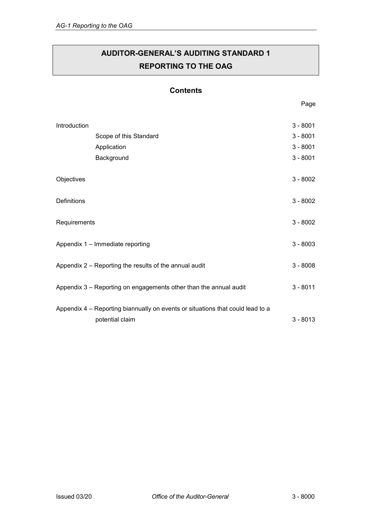# **AUDITOR-GENERAL'S AUDITING STANDARD 1 REPORTING TO THE OAG**

### **Contents**

| Introduction                                                      |                                                                                                   | $3 - 8001$ |
|-------------------------------------------------------------------|---------------------------------------------------------------------------------------------------|------------|
|                                                                   | Scope of this Standard                                                                            | $3 - 8001$ |
|                                                                   | Application                                                                                       | $3 - 8001$ |
|                                                                   | Background                                                                                        | $3 - 8001$ |
| Objectives                                                        |                                                                                                   | $3 - 8002$ |
| Definitions                                                       |                                                                                                   | $3 - 8002$ |
| Requirements                                                      |                                                                                                   | $3 - 8002$ |
| Appendix 1 - Immediate reporting                                  |                                                                                                   | $3 - 8003$ |
| Appendix 2 – Reporting the results of the annual audit            |                                                                                                   | $3 - 8008$ |
| Appendix 3 - Reporting on engagements other than the annual audit |                                                                                                   | $3 - 8011$ |
|                                                                   | Appendix 4 – Reporting biannually on events or situations that could lead to a<br>potential claim | $3 - 8013$ |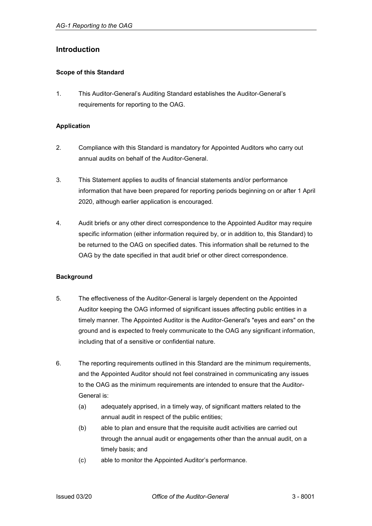### <span id="page-1-0"></span>**Introduction**

#### <span id="page-1-1"></span>**Scope of this Standard**

1. This Auditor-General's Auditing Standard establishes the Auditor-General's requirements for reporting to the OAG.

#### <span id="page-1-2"></span>**Application**

- 2. Compliance with this Standard is mandatory for Appointed Auditors who carry out annual audits on behalf of the Auditor-General.
- 3. This Statement applies to audits of financial statements and/or performance information that have been prepared for reporting periods beginning on or after 1 April 2020, although earlier application is encouraged.
- 4. Audit briefs or any other direct correspondence to the Appointed Auditor may require specific information (either information required by, or in addition to, this Standard) to be returned to the OAG on specified dates. This information shall be returned to the OAG by the date specified in that audit brief or other direct correspondence.

#### <span id="page-1-3"></span>**Background**

- 5. The effectiveness of the Auditor-General is largely dependent on the Appointed Auditor keeping the OAG informed of significant issues affecting public entities in a timely manner. The Appointed Auditor is the Auditor-General's "eyes and ears" on the ground and is expected to freely communicate to the OAG any significant information, including that of a sensitive or confidential nature.
- 6. The reporting requirements outlined in this Standard are the minimum requirements, and the Appointed Auditor should not feel constrained in communicating any issues to the OAG as the minimum requirements are intended to ensure that the Auditor-General is:
	- (a) adequately apprised, in a timely way, of significant matters related to the annual audit in respect of the public entities;
	- (b) able to plan and ensure that the requisite audit activities are carried out through the annual audit or engagements other than the annual audit, on a timely basis; and
	- (c) able to monitor the Appointed Auditor's performance.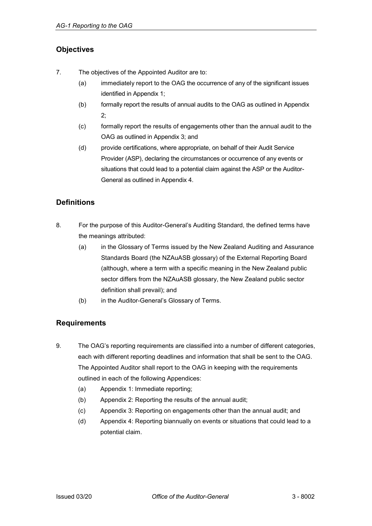## <span id="page-2-0"></span>**Objectives**

- 7. The objectives of the Appointed Auditor are to:
	- (a) immediately report to the OAG the occurrence of any of the significant issues identified in [Appendix 1;](#page-3-0)
	- (b) formally report the results of annual audits to the OAG as outlined i[n Appendix](#page-8-0)  [2;](#page-8-0)
	- (c) formally report the results of engagements other than the annual audit to the OAG as outlined in [Appendix 3;](#page-11-0) and
	- (d) provide certifications, where appropriate, on behalf of their Audit Service Provider (ASP), declaring the circumstances or occurrence of any events or situations that could lead to a potential claim against the ASP or the Auditor-General as outlined in [Appendix 4.](#page-13-0)

# <span id="page-2-1"></span>**Definitions**

- 8. For the purpose of this Auditor-General's Auditing Standard, the defined terms have the meanings attributed:
	- (a) in the Glossary of Terms issued by the New Zealand Auditing and Assurance Standards Board (the NZAuASB glossary) of the External Reporting Board (although, where a term with a specific meaning in the New Zealand public sector differs from the NZAuASB glossary, the New Zealand public sector definition shall prevail); and
	- (b) in the Auditor-General's Glossary of Terms.

## <span id="page-2-2"></span>**Requirements**

- 9. The OAG's reporting requirements are classified into a number of different categories, each with different reporting deadlines and information that shall be sent to the OAG. The Appointed Auditor shall report to the OAG in keeping with the requirements outlined in each of the following Appendices:
	- (a) [Appendix 1:](#page-3-0) Immediate reporting;
	- (b) [Appendix 2:](#page-8-0) Reporting the results of the annual audit;
	- (c) [Appendix 3:](#page-11-0) Reporting on engagements other than the annual audit; and
	- (d) [Appendix 4:](#page-13-0) Reporting biannually on events or situations that could lead to a potential claim.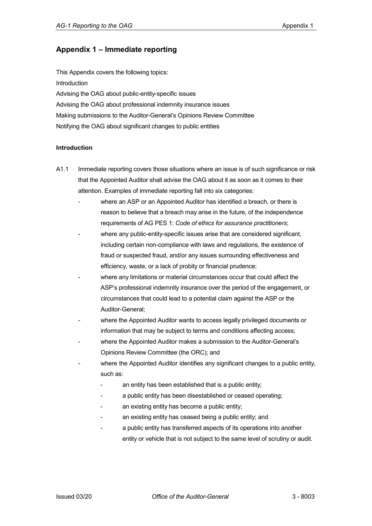## <span id="page-3-0"></span>**Appendix 1 – Immediate reporting**

This Appendix covers the following topics: [Introduction](#page-3-1) [Advising the OAG about public-entity-specific issues](#page-3-2) [Advising the OAG about professional indemnity insurance issues](#page-5-0) Making submissions to the Auditor-General's [Opinions Review Committee](#page-6-0) Notifying [the OAG about significant changes to public entities](#page-7-0)

#### <span id="page-3-1"></span>**Introduction**

- <span id="page-3-2"></span>A1.1 Immediate reporting covers those situations where an issue is of such significance or risk that the Appointed Auditor shall advise the OAG about it as soon as it comes to their attention. Examples of immediate reporting fall into six categories:
	- where an ASP or an Appointed Auditor has identified a breach, or there is reason to believe that a breach may arise in the future, of the independence requirements of AG PES 1: *Code of ethics for assurance practitioners*;
	- where any public-entity-specific issues arise that are considered significant, including certain non-compliance with laws and regulations, the existence of fraud or suspected fraud, and/or any issues surrounding effectiveness and efficiency, waste, or a lack of probity or financial prudence;
	- where any limitations or material circumstances occur that could affect the ASP's professional indemnity insurance over the period of the engagement, or circumstances that could lead to a potential claim against the ASP or the Auditor-General;
	- where the Appointed Auditor wants to access legally privileged documents or information that may be subject to terms and conditions affecting access;
	- where the Appointed Auditor makes a submission to the Auditor-General's Opinions Review Committee (the ORC); and
	- where the Appointed Auditor identifies any significant changes to a public entity, such as:
		- an entity has been established that is a public entity;
		- a public entity has been disestablished or ceased operating;
		- an existing entity has become a public entity;
		- an existing entity has ceased being a public entity; and
		- a public entity has transferred aspects of its operations into another entity or vehicle that is not subject to the same level of scrutiny or audit.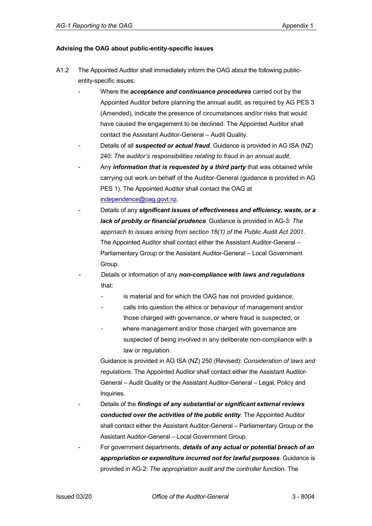#### **Advising the OAG about public-entity-specific issues**

- A1.2 The Appointed Auditor shall immediately inform the OAG about the following publicentity-specific issues:
	- Where the *acceptance and continuance procedures* carried out by the Appointed Auditor before planning the annual audit, as required by AG PES 3 (Amended), indicate the presence of circumstances and/or risks that would have caused the engagement to be declined. The Appointed Auditor shall contact the Assistant Auditor-General – Audit Quality.
	- Details of all **suspected or actual fraud**. Guidance is provided in AG ISA (NZ) 240: *The auditor's responsibilities relating to fraud in an annual audit*.
	- Any *information that is requested by a third party* that was obtained while carrying out work on behalf of the Auditor-General (guidance is provided in AG PES 1). The Appointed Auditor shall contact the OAG at [independence@oag.govt.nz.](mailto:independence@oag.govt.nz)
	- Details of any *significant issues of effectiveness and efficiency, waste, or a lack of probity or financial prudence*. Guidance is provided in AG-3: *The approach to issues arising from section 16(1) of the Public Audit Act 2001*. The Appointed Auditor shall contact either the Assistant Auditor-General – Parliamentary Group or the Assistant Auditor-General – Local Government Group.
	- Details or information of any *non-compliance with laws and regulations* that:
		- is material and for which the OAG has not provided guidance;
		- calls into question the ethics or behaviour of management and/or those charged with governance, or where fraud is suspected; or
		- where management and/or those charged with governance are suspected of being involved in any deliberate non-compliance with a law or regulation.

Guidance is provided in AG ISA (NZ) 250 (Revised): *Consideration of laws and regulations*. The Appointed Auditor shall contact either the Assistant Auditor-General – Audit Quality or the Assistant Auditor-General – Legal, Policy and Inquiries.

- Details of the *findings of any substantial or significant external reviews conducted over the activities of the public entity*. The Appointed Auditor shall contact either the Assistant Auditor-General – Parliamentary Group or the Assistant Auditor-General – Local Government Group.
- For government departments, *details of any actual or potential breach of an appropriation or expenditure incurred not for lawful purposes*. Guidance is provided in AG-2: *The appropriation audit and the controller function*. The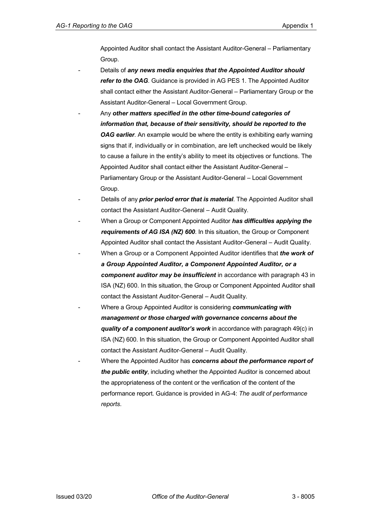Appointed Auditor shall contact the Assistant Auditor-General – Parliamentary Group.

- Details of *any news media enquiries that the Appointed Auditor should refer to the OAG*. Guidance is provided in AG PES 1. The Appointed Auditor shall contact either the Assistant Auditor-General – Parliamentary Group or the Assistant Auditor-General – Local Government Group.
- Any *other matters specified in the other time-bound categories of information that, because of their sensitivity, should be reported to the OAG earlier.* An example would be where the entity is exhibiting early warning signs that if, individually or in combination, are left unchecked would be likely to cause a failure in the entity's ability to meet its objectives or functions. The Appointed Auditor shall contact either the Assistant Auditor-General – Parliamentary Group or the Assistant Auditor-General – Local Government Group.
- Details of any *prior period error that is material*. The Appointed Auditor shall contact the Assistant Auditor-General – Audit Quality.
- When a Group or Component Appointed Auditor *has difficulties applying the requirements of AG ISA (NZ) 600*. In this situation, the Group or Component Appointed Auditor shall contact the Assistant Auditor-General – Audit Quality.
- When a Group or a Component Appointed Auditor identifies that *the work of a Group Appointed Auditor, a Component Appointed Auditor, or a component auditor may be insufficient* in accordance with paragraph 43 in ISA (NZ) 600. In this situation, the Group or Component Appointed Auditor shall contact the Assistant Auditor-General – Audit Quality.
- <span id="page-5-0"></span>- Where a Group Appointed Auditor is considering *communicating with management or those charged with governance concerns about the quality of a component auditor's work* in accordance with paragraph 49(c) in ISA (NZ) 600. In this situation, the Group or Component Appointed Auditor shall contact the Assistant Auditor-General – Audit Quality.
	- Where the Appointed Auditor has *concerns about the performance report of the public entity*, including whether the Appointed Auditor is concerned about the appropriateness of the content or the verification of the content of the performance report. Guidance is provided in AG-4: *The audit of performance reports*.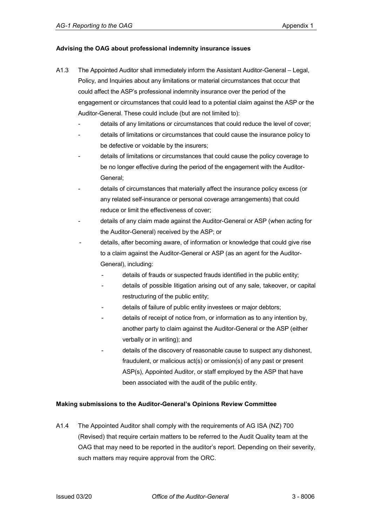#### **Advising the OAG about professional indemnity insurance issues**

- A1.3 The Appointed Auditor shall immediately inform the Assistant Auditor-General Legal, Policy, and Inquiries about any limitations or material circumstances that occur that could affect the ASP's professional indemnity insurance over the period of the engagement or circumstances that could lead to a potential claim against the ASP or the Auditor-General. These could include (but are not limited to):
	- details of any limitations or circumstances that could reduce the level of cover;
	- details of limitations or circumstances that could cause the insurance policy to be defective or voidable by the insurers;
	- details of limitations or circumstances that could cause the policy coverage to be no longer effective during the period of the engagement with the Auditor-General;
	- details of circumstances that materially affect the insurance policy excess (or any related self-insurance or personal coverage arrangements) that could reduce or limit the effectiveness of cover;
	- details of any claim made against the Auditor-General or ASP (when acting for the Auditor-General) received by the ASP; or
	- details, after becoming aware, of information or knowledge that could give rise to a claim against the Auditor-General or ASP (as an agent for the Auditor-General), including:
		- details of frauds or suspected frauds identified in the public entity;
		- details of possible litigation arising out of any sale, takeover, or capital restructuring of the public entity;
		- details of failure of public entity investees or major debtors;
		- details of receipt of notice from, or information as to any intention by, another party to claim against the Auditor-General or the ASP (either verbally or in writing); and
		- details of the discovery of reasonable cause to suspect any dishonest, fraudulent, or malicious act(s) or omission(s) of any past or present ASP(s), Appointed Auditor, or staff employed by the ASP that have been associated with the audit of the public entity.

#### <span id="page-6-0"></span>**Making submissions to the Auditor-General's Opinions Review Committee**

A1.4 The Appointed Auditor shall comply with the requirements of AG ISA (NZ) 700 (Revised) that require certain matters to be referred to the Audit Quality team at the OAG that may need to be reported in the auditor's report. Depending on their severity, such matters may require approval from the ORC.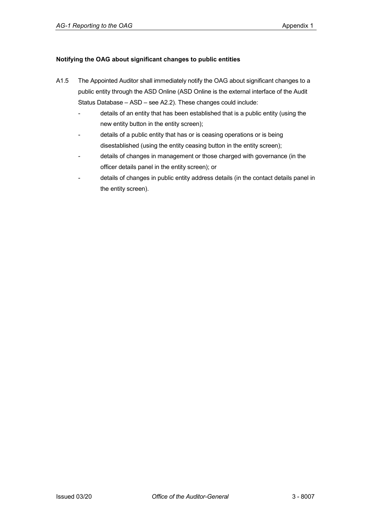#### <span id="page-7-0"></span>**Notifying the OAG about significant changes to public entities**

- A1.5 The Appointed Auditor shall immediately notify the OAG about significant changes to a public entity through the ASD Online (ASD Online is the external interface of the Audit Status Database – ASD – see A2.2). These changes could include:
	- details of an entity that has been established that is a public entity (using the new entity button in the entity screen);
	- details of a public entity that has or is ceasing operations or is being disestablished (using the entity ceasing button in the entity screen);
	- details of changes in management or those charged with governance (in the officer details panel in the entity screen); or
	- details of changes in public entity address details (in the contact details panel in the entity screen).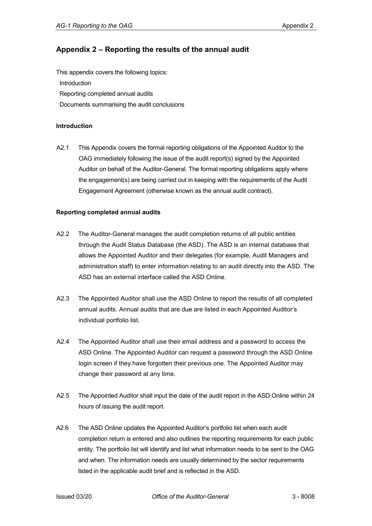## <span id="page-8-0"></span>**Appendix 2 – Reporting the results of the annual audit**

This appendix covers the following topics: [Introduction](#page-8-1) [Reporting completed annual audits](#page-8-2) Documents summarising the audit conclusions

#### <span id="page-8-1"></span>**Introduction**

A2.1 This Appendix covers the formal reporting obligations of the Appointed Auditor to the OAG immediately following the issue of the audit report(s) signed by the Appointed Auditor on behalf of the Auditor-General. The formal reporting obligations apply where the engagement(s) are being carried out in keeping with the requirements of the Audit Engagement Agreement (otherwise known as the annual audit contract).

#### <span id="page-8-2"></span>**Reporting completed annual audits**

- A2.2 The Auditor-General manages the audit completion returns of all public entities through the Audit Status Database (the ASD). The ASD is an internal database that allows the Appointed Auditor and their delegates (for example, Audit Managers and administration staff) to enter information relating to an audit directly into the ASD. The ASD has an external interface called the ASD Online.
- A2.3 The Appointed Auditor shall use the ASD Online to report the results of all completed annual audits. Annual audits that are due are listed in each Appointed Auditor's individual portfolio list.
- A2.4 The Appointed Auditor shall use their email address and a password to access the ASD Online. The Appointed Auditor can request a password through the ASD Online login screen if they have forgotten their previous one. The Appointed Auditor may change their password at any time.
- A2.5 The Appointed Auditor shall input the date of the audit report in the ASD Online within 24 hours of issuing the audit report.
- A2.6 The ASD Online updates the Appointed Auditor's portfolio list when each audit completion return is entered and also outlines the reporting requirements for each public entity. The portfolio list will identify and list what information needs to be sent to the OAG and when. The information needs are usually determined by the sector requirements listed in the applicable audit brief and is reflected in the ASD.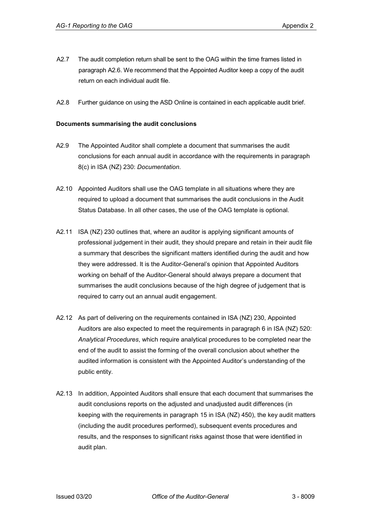- A2.7 The audit completion return shall be sent to the OAG within the time frames listed in paragraph A2.6. We recommend that the Appointed Auditor keep a copy of the audit return on each individual audit file.
- A2.8 Further guidance on using the ASD Online is contained in each applicable audit brief.

#### **Documents summarising the audit conclusions**

- A2.9 The Appointed Auditor shall complete a document that summarises the audit conclusions for each annual audit in accordance with the requirements in paragraph 8(c) in ISA (NZ) 230: *Documentation*.
- A2.10 Appointed Auditors shall use the OAG template in all situations where they are required to upload a document that summarises the audit conclusions in the Audit Status Database. In all other cases, the use of the OAG template is optional.
- A2.11 ISA (NZ) 230 outlines that, where an auditor is applying significant amounts of professional judgement in their audit, they should prepare and retain in their audit file a summary that describes the significant matters identified during the audit and how they were addressed. It is the Auditor-General's opinion that Appointed Auditors working on behalf of the Auditor-General should always prepare a document that summarises the audit conclusions because of the high degree of judgement that is required to carry out an annual audit engagement.
- A2.12 As part of delivering on the requirements contained in ISA (NZ) 230, Appointed Auditors are also expected to meet the requirements in paragraph 6 in ISA (NZ) 520: *Analytical Procedures*, which require analytical procedures to be completed near the end of the audit to assist the forming of the overall conclusion about whether the audited information is consistent with the Appointed Auditor's understanding of the public entity.
- A2.13 In addition, Appointed Auditors shall ensure that each document that summarises the audit conclusions reports on the adjusted and unadjusted audit differences (in keeping with the requirements in paragraph 15 in ISA (NZ) 450), the key audit matters (including the audit procedures performed), subsequent events procedures and results, and the responses to significant risks against those that were identified in audit plan.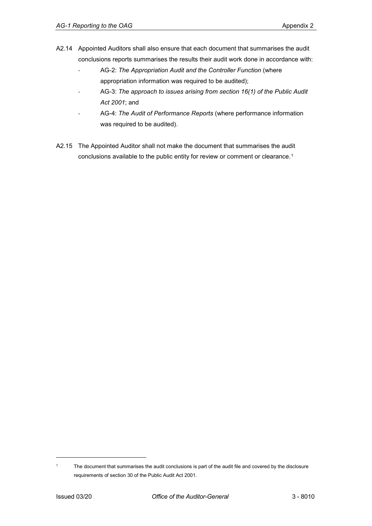- A2.14 Appointed Auditors shall also ensure that each document that summarises the audit conclusions reports summarises the results their audit work done in accordance with:
	- AG-2: *The Appropriation Audit and the Controller Function* (where appropriation information was required to be audited);
	- AG-3: The approach to issues arising from section 16(1) of the Public Audit *Act 2001*; and
	- AG-4: The Audit of Performance Reports (where performance information was required to be audited).
- A2.15 The Appointed Auditor shall not make the document that summarises the audit conclusions available to the public entity for review or comment or clearance.[1](#page-10-0)

-

<span id="page-10-0"></span><sup>&</sup>lt;sup>1</sup> The document that summarises the audit conclusions is part of the audit file and covered by the disclosure requirements of section 30 of the Public Audit Act 2001.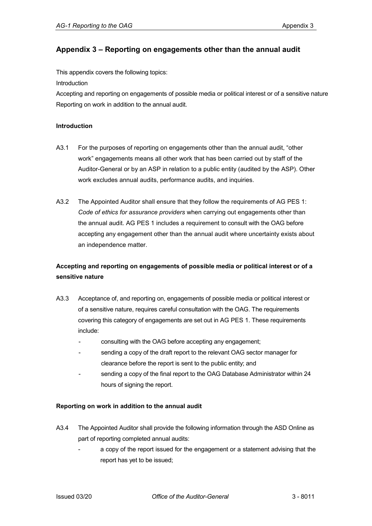### <span id="page-11-0"></span>**Appendix 3 – Reporting on engagements other than the annual audit**

This appendix covers the following topics:

[Introduction](#page-11-1)

[Accepting and reporting on engagements of possible media or political interest or of a sensitive nature](#page-11-2) [Reporting on work](#page-11-3) in addition to the annual audit.

#### <span id="page-11-1"></span>**Introduction**

- A3.1 For the purposes of reporting on engagements other than the annual audit, "other work" engagements means all other work that has been carried out by staff of the Auditor-General or by an ASP in relation to a public entity (audited by the ASP). Other work excludes annual audits, performance audits, and inquiries.
- A3.2 The Appointed Auditor shall ensure that they follow the requirements of AG PES 1: *Code of ethics for assurance providers* when carrying out engagements other than the annual audit. AG PES 1 includes a requirement to consult with the OAG before accepting any engagement other than the annual audit where uncertainty exists about an independence matter.

## <span id="page-11-2"></span>**Accepting and reporting on engagements of possible media or political interest or of a sensitive nature**

- A3.3 Acceptance of, and reporting on, engagements of possible media or political interest or of a sensitive nature, requires careful consultation with the OAG. The requirements covering this category of engagements are set out in AG PES 1. These requirements include:
	- consulting with the OAG before accepting any engagement;
	- sending a copy of the draft report to the relevant OAG sector manager for clearance before the report is sent to the public entity; and
	- sending a copy of the final report to the OAG Database Administrator within 24 hours of signing the report.

#### <span id="page-11-3"></span>**Reporting on work in addition to the annual audit**

- A3.4 The Appointed Auditor shall provide the following information through the ASD Online as part of reporting completed annual audits:
	- a copy of the report issued for the engagement or a statement advising that the report has yet to be issued;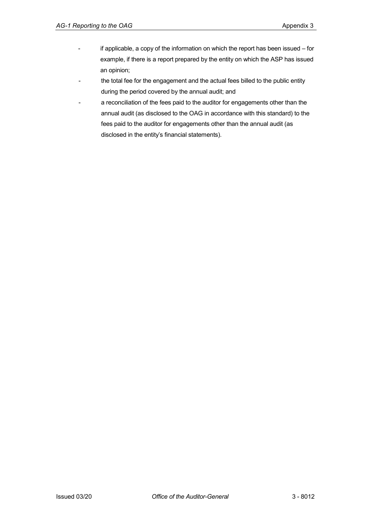- if applicable, a copy of the information on which the report has been issued for example, if there is a report prepared by the entity on which the ASP has issued an opinion;
- the total fee for the engagement and the actual fees billed to the public entity during the period covered by the annual audit; and
- a reconciliation of the fees paid to the auditor for engagements other than the annual audit (as disclosed to the OAG in accordance with this standard) to the fees paid to the auditor for engagements other than the annual audit (as disclosed in the entity's financial statements).